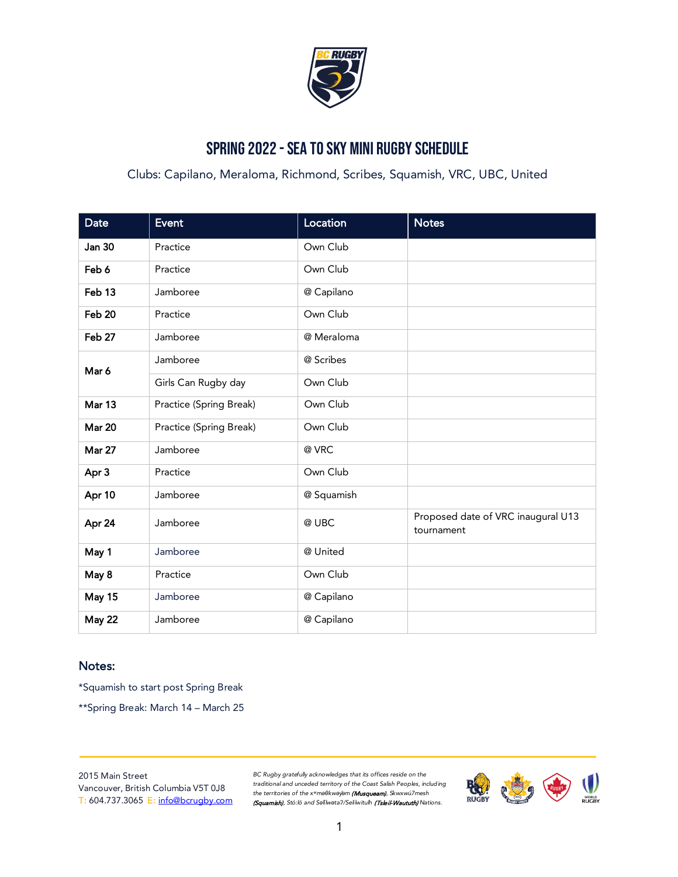

### Spring 2022 - Sea to Sky Mini Rugby Schedule

Clubs: Capilano, Meraloma, Richmond, Scribes, Squamish, VRC, UBC, United

| <b>Date</b>   | Event                   | Location   | <b>Notes</b>                                     |
|---------------|-------------------------|------------|--------------------------------------------------|
| <b>Jan 30</b> | Practice                | Own Club   |                                                  |
| Feb 6         | Practice                | Own Club   |                                                  |
| Feb 13        | Jamboree                | @ Capilano |                                                  |
| Feb 20        | Practice                | Own Club   |                                                  |
| Feb 27        | Jamboree                | @ Meraloma |                                                  |
| Mar 6         | Jamboree                | @ Scribes  |                                                  |
|               | Girls Can Rugby day     | Own Club   |                                                  |
| Mar 13        | Practice (Spring Break) | Own Club   |                                                  |
| <b>Mar 20</b> | Practice (Spring Break) | Own Club   |                                                  |
| <b>Mar 27</b> | Jamboree                | @ VRC      |                                                  |
| Apr 3         | Practice                | Own Club   |                                                  |
| Apr 10        | Jamboree                | @ Squamish |                                                  |
| Apr 24        | Jamboree                | @ UBC      | Proposed date of VRC inaugural U13<br>tournament |
| May 1         | Jamboree                | @ United   |                                                  |
| May 8         | Practice                | Own Club   |                                                  |
| <b>May 15</b> | Jamboree                | @ Capilano |                                                  |
| <b>May 22</b> | Jamboree                | @ Capilano |                                                  |

#### Notes:

\*Squamish to start post Spring Break

\*\*Spring Break: March 14 – March 25

2015 Main Street Vancouver, British Columbia V5T 0J8 T: 604.737.3065 E: [info@bcrugby.com](mailto:info@bcrugby.com)

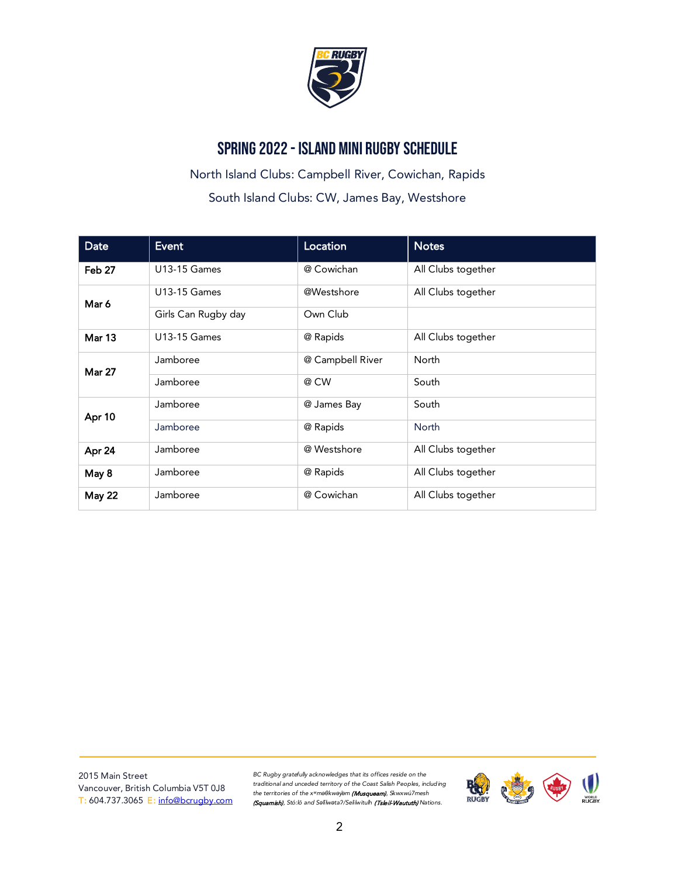

### Spring 2022 - Island Mini Rugby Schedule

North Island Clubs: Campbell River, Cowichan, Rapids South Island Clubs: CW, James Bay, Westshore

| <b>Date</b>       | <b>Event</b>        | Location         | <b>Notes</b>       |
|-------------------|---------------------|------------------|--------------------|
| Feb 27            | <b>U13-15 Games</b> | @ Cowichan       | All Clubs together |
| Mar 6             | <b>U13-15 Games</b> | @Westshore       | All Clubs together |
|                   | Girls Can Rugby day | Own Club         |                    |
| Mar <sub>13</sub> | <b>U13-15 Games</b> | @ Rapids         | All Clubs together |
| <b>Mar 27</b>     | Jamboree            | @ Campbell River | North              |
|                   | Jamboree            | @ CW             | South              |
| Apr 10            | Jamboree            | @ James Bay      | South              |
|                   | Jamboree            | @ Rapids         | <b>North</b>       |
| Apr 24            | Jamboree            | @ Westshore      | All Clubs together |
| May 8             | Jamboree            | @ Rapids         | All Clubs together |
| May 22            | Jamboree            | @ Cowichan       | All Clubs together |

2015 Main Street Vancouver, British Columbia V5T 0J8 T: 604.737.3065 E: [info@bcrugby.com](mailto:info@bcrugby.com)

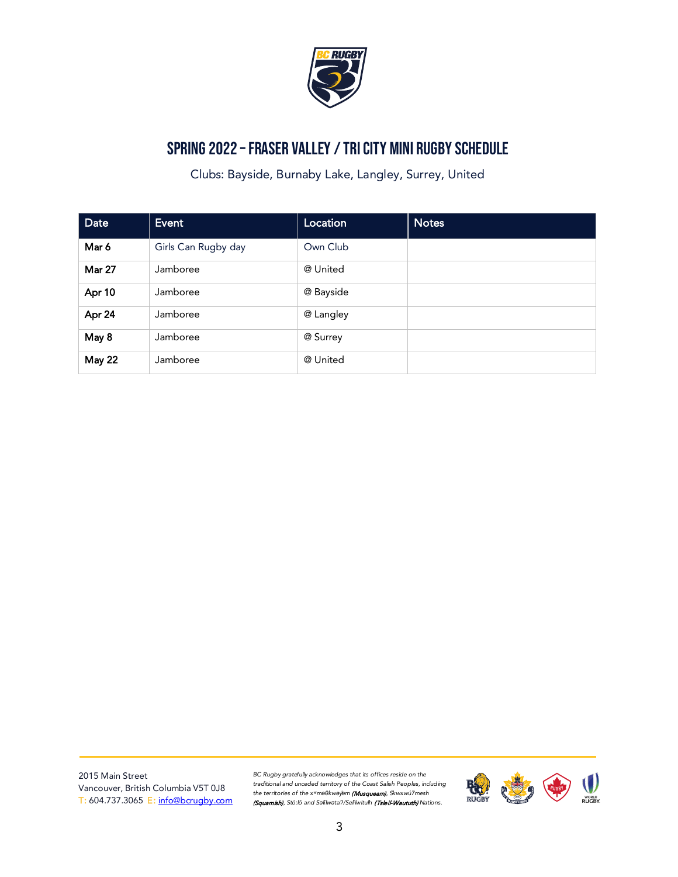

## Spring 2022 –Fraser Valley / Tri city Mini Rugby Schedule

Clubs: Bayside, Burnaby Lake, Langley, Surrey, United

| Date          | <b>Event</b>        | Location  | <b>Notes</b> |
|---------------|---------------------|-----------|--------------|
| Mar 6         | Girls Can Rugby day | Own Club  |              |
| <b>Mar 27</b> | Jamboree            | @ United  |              |
| Apr 10        | Jamboree            | @ Bayside |              |
| Apr 24        | Jamboree            | @ Langley |              |
| May 8         | Jamboree            | @ Surrey  |              |
| <b>May 22</b> | Jamboree            | @ United  |              |

2015 Main Street Vancouver, British Columbia V5T 0J8 T: 604.737.3065 E: [info@bcrugby.com](mailto:info@bcrugby.com)